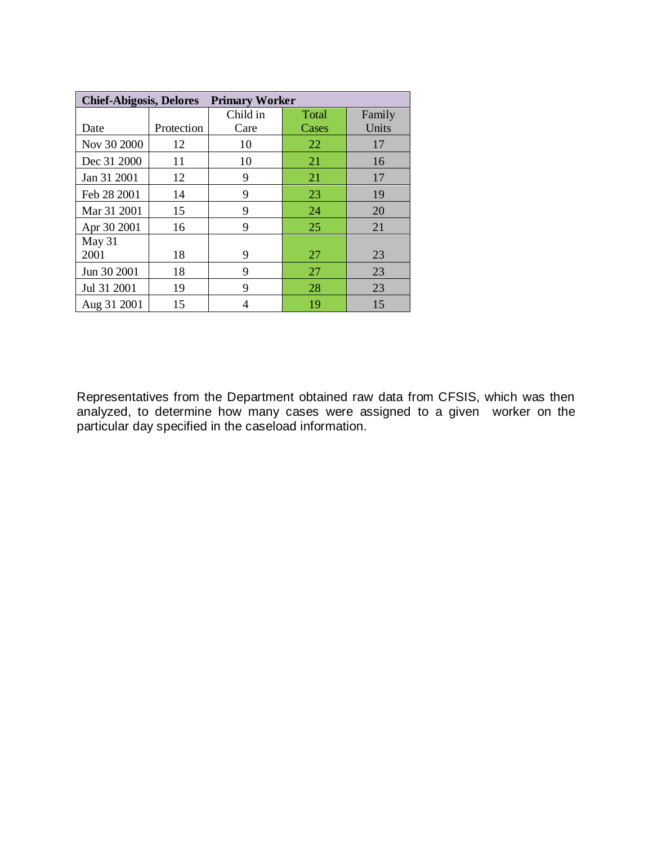| <b>Primary Worker</b><br><b>Chief-Abigosis, Delores</b> |            |          |       |        |
|---------------------------------------------------------|------------|----------|-------|--------|
|                                                         |            | Child in | Total | Family |
| Date                                                    | Protection | Care     | Cases | Units  |
| Nov 30 2000                                             | 12         | 10       | 22    | 17     |
| Dec 31 2000                                             | 11         | 10       | 21    | 16     |
| Jan 31 2001                                             | 12         | 9        | 21    | 17     |
| Feb 28 2001                                             | 14         | 9        | 23    | 19     |
| Mar 31 2001                                             | 15         | 9        | 24    | 20     |
| Apr 30 2001                                             | 16         | 9        | 25    | 21     |
| May 31                                                  |            |          |       |        |
| 2001                                                    | 18         | 9        | 27    | 23     |
| Jun 30 2001                                             | 18         | 9        | 27    | 23     |
| Jul 31 2001                                             | 19         | 9        | 28    | 23     |
| Aug 31 2001                                             | 15         | 4        | 19    | 15     |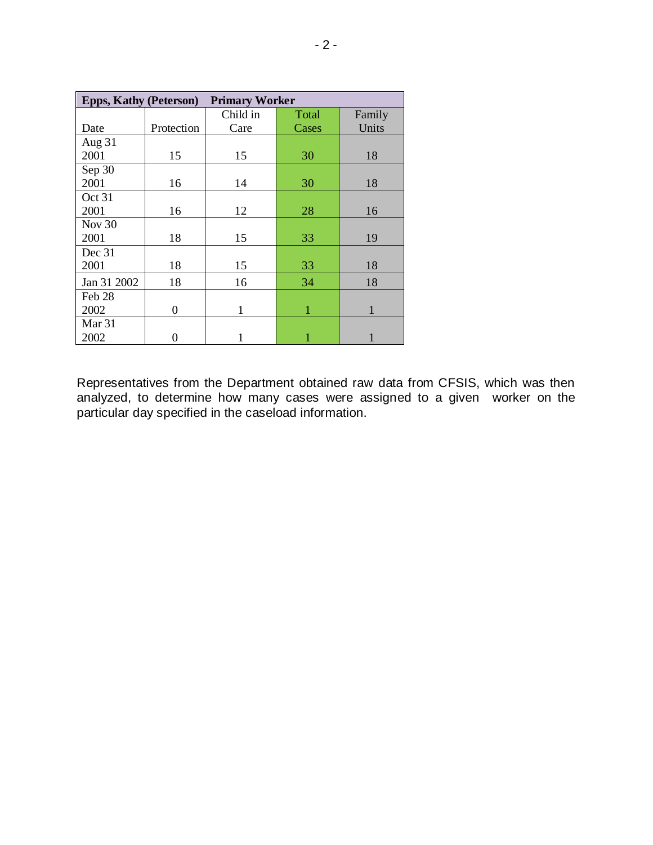| <b>Primary Worker</b><br><b>Epps, Kathy (Peterson)</b> |            |          |       |        |
|--------------------------------------------------------|------------|----------|-------|--------|
|                                                        |            | Child in | Total | Family |
| Date                                                   | Protection | Care     | Cases | Units  |
| Aug 31                                                 |            |          |       |        |
| 2001                                                   | 15         | 15       | 30    | 18     |
| Sep 30                                                 |            |          |       |        |
| 2001                                                   | 16         | 14       | 30    | 18     |
| Oct 31                                                 |            |          |       |        |
| 2001                                                   | 16         | 12       | 28    | 16     |
| Nov 30                                                 |            |          |       |        |
| 2001                                                   | 18         | 15       | 33    | 19     |
| Dec 31                                                 |            |          |       |        |
| 2001                                                   | 18         | 15       | 33    | 18     |
| Jan 31 2002                                            | 18         | 16       | 34    | 18     |
| Feb 28                                                 |            |          |       |        |
| 2002                                                   | 0          | 1        | 1     | 1      |
| Mar <sub>31</sub>                                      |            |          |       |        |
| 2002                                                   |            |          |       |        |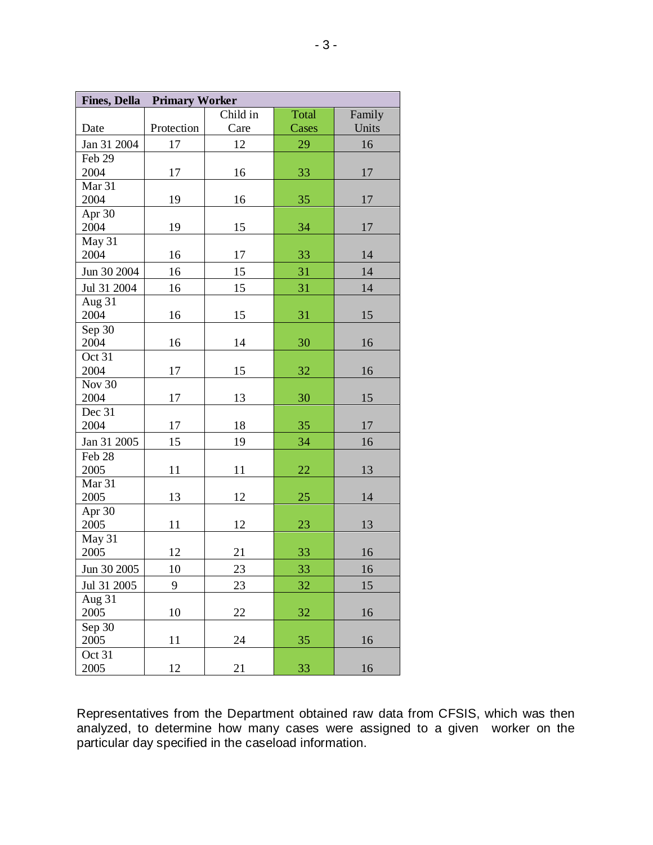|                       | <b>Fines, Della Primary Worker</b> |          |       |        |
|-----------------------|------------------------------------|----------|-------|--------|
|                       |                                    | Child in | Total | Family |
| Date                  | Protection                         | Care     | Cases | Units  |
| Jan 31 2004           | 17                                 | 12       | 29    | 16     |
| Feb 29                |                                    |          |       |        |
| 2004                  | 17                                 | 16       | 33    | 17     |
| Mar 31                |                                    |          |       |        |
| 2004                  | 19                                 | 16       | 35    | 17     |
| Apr 30                |                                    |          |       |        |
| 2004                  | 19                                 | 15       | 34    | 17     |
| May 31                |                                    |          |       |        |
| 2004                  | 16                                 | 17       | 33    | 14     |
| Jun 30 2004           | 16                                 | 15       | 31    | 14     |
| Jul 31 2004           | 16                                 | 15       | 31    | 14     |
| Aug 31                |                                    |          |       |        |
| 2004                  | 16                                 | 15       | 31    | 15     |
| Sep 30                |                                    |          |       |        |
| 2004                  | 16                                 | 14       | 30    | 16     |
| Oct 31                |                                    |          |       |        |
| 2004                  | 17                                 | 15       | 32    | 16     |
| <b>Nov 30</b>         |                                    |          |       |        |
| 2004                  | 17                                 | 13       | 30    | 15     |
| Dec 31<br>2004        | 17                                 | 18       | 35    | 17     |
|                       |                                    |          |       |        |
| Jan 31 2005           | 15                                 | 19       | 34    | 16     |
| Feb 28                |                                    |          |       |        |
| 2005<br>Mar 31        | 11                                 | 11       | 22    | 13     |
| 2005                  | 13                                 | 12       | 25    | 14     |
| Apr 30                |                                    |          |       |        |
| 2005                  | 11                                 | 12       | 23    | 13     |
| May 31                |                                    |          |       |        |
| 2005                  | 12                                 | 21       | 33    | 16     |
| Jun 30 2005           | 10                                 | 23       | 33    | 16     |
|                       | 9                                  |          |       |        |
| Jul 31 2005<br>Aug 31 |                                    | 23       | 32    | 15     |
| 2005                  | 10                                 | 22       | 32    | 16     |
| Sep 30                |                                    |          |       |        |
| 2005                  | 11                                 | 24       | 35    | 16     |
| Oct 31                |                                    |          |       |        |
| 2005                  | 12                                 | 21       | 33    | 16     |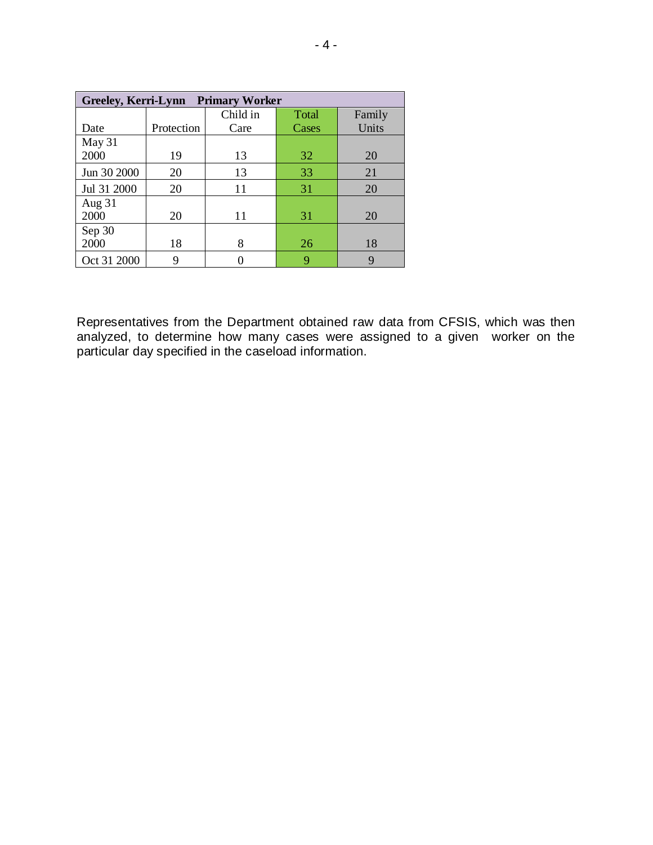| Greeley, Kerri-Lynn Primary Worker |            |          |       |        |
|------------------------------------|------------|----------|-------|--------|
|                                    |            | Child in | Total | Family |
| Date                               | Protection | Care     | Cases | Units  |
| May 31                             |            |          |       |        |
| 2000                               | 19         | 13       | 32    | 20     |
| Jun 30 2000                        | 20         | 13       | 33    | 21     |
| Jul 31 2000                        | 20         | 11       | 31    | 20     |
| Aug 31                             |            |          |       |        |
| 2000                               | 20         | 11       | 31    | 20     |
| Sep 30                             |            |          |       |        |
| 2000                               | 18         | 8        | 26    | 18     |
| Oct 31 2000                        | 9          |          | 9     | 9      |